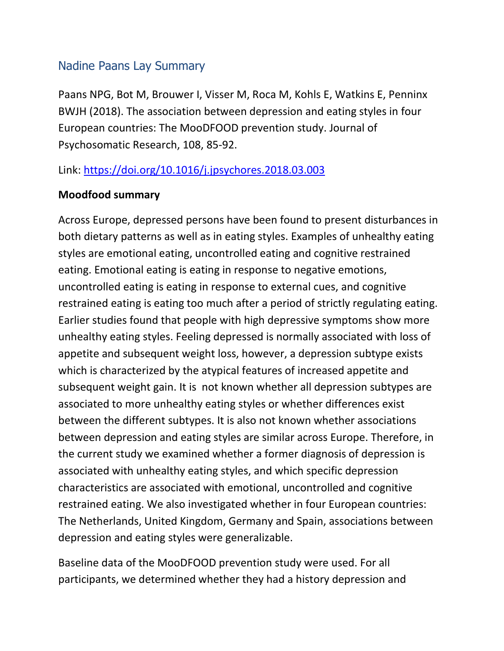## Nadine Paans Lay Summary

Paans NPG, Bot M, Brouwer I, Visser M, Roca M, Kohls E, Watkins E, Penninx BWJH (2018). The association between depression and eating styles in four European countries: The MooDFOOD prevention study. Journal of Psychosomatic Research, 108, 85-92.

Link:<https://doi.org/10.1016/j.jpsychores.2018.03.003>

## **Moodfood summary**

Across Europe, depressed persons have been found to present disturbances in both dietary patterns as well as in eating styles. Examples of unhealthy eating styles are emotional eating, uncontrolled eating and cognitive restrained eating. Emotional eating is eating in response to negative emotions, uncontrolled eating is eating in response to external cues, and cognitive restrained eating is eating too much after a period of strictly regulating eating. Earlier studies found that people with high depressive symptoms show more unhealthy eating styles. Feeling depressed is normally associated with loss of appetite and subsequent weight loss, however, a depression subtype exists which is characterized by the atypical features of increased appetite and subsequent weight gain. It is not known whether all depression subtypes are associated to more unhealthy eating styles or whether differences exist between the different subtypes. It is also not known whether associations between depression and eating styles are similar across Europe. Therefore, in the current study we examined whether a former diagnosis of depression is associated with unhealthy eating styles, and which specific depression characteristics are associated with emotional, uncontrolled and cognitive restrained eating. We also investigated whether in four European countries: The Netherlands, United Kingdom, Germany and Spain, associations between depression and eating styles were generalizable.

Baseline data of the MooDFOOD prevention study were used. For all participants, we determined whether they had a history depression and